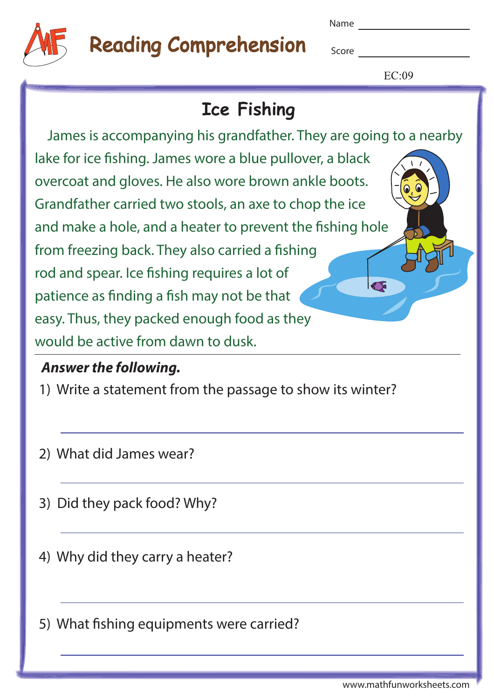

# Reading Comprehension

Name

**Score Score** 

 $EC:09$ 

## **Ice Fishing**

 James is accompanying his grandfather. They are going to a nearby lake for ice fishing. James wore a blue pullover, a black overcoat and gloves. He also wore brown ankle boots. Grandfather carried two stools, an axe to chop the ice and make a hole, and a heater to prevent the fishing hole from freezing back. They also carried a fishing rod and spear. Ice fishing requires a lot of  $\sqrt{5}$ patience as finding a fish may not be that easy. Thus, they packed enough food as they would be active from dawn to dusk.

#### **Answer the following.**

- 1) Write a statement from the passage to show its winter?
- 2) What did James wear?
- 3) Did they pack food? Why?
- 4) Why did they carry a heater?

5) What fishing equipments were carried?